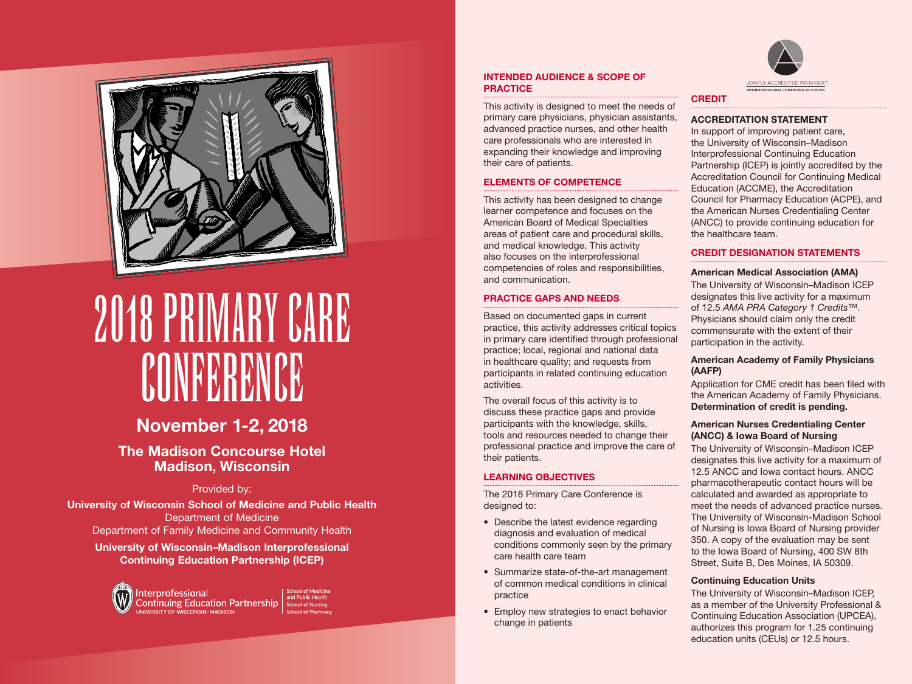

# 2018 PRIMARY CARE **CONFERENCE**

# November 1-2, 2018

The Madison Concourse Hotel Madison, Wisconsin

## Provided by:

University of Wisconsin School of Medicine and Public Health Department of Medicine Department of Family Medicine and Community Health

# University of Wisconsin–Madison Interprofessional Continuing Education Partnership (ICEP)



#### INTENDED AUDIENCE & SCOPE OF **PRACTICE**

This activity is designed to meet the needs of primary care physicians, physician assistants, advanced practice nurses, and other health care professionals who are interested in expanding their knowledge and improving their care of patients.

#### ELEMENTS OF COMPETENCE

This activity has been designed to change learner competence and focuses on the American Board of Medical Specialties areas of patient care and procedural skills, and medical knowledge. This activity also focuses on the interprofessional competencies of roles and responsibilities, and communication.

## PRACTICE GAPS AND NEEDS

Based on documented gaps in current practice, this activity addresses critical topics in primary care identified through professional practice; local, regional and national data in healthcare quality; and requests from participants in related continuing education activities.

The overall focus of this activity is to discuss these practice gaps and provide participants with the knowledge, skills, tools and resources needed to change their professional practice and improve the care of their patients.

## LEARNING OBJECTIVES

The 2018 Primary Care Conference is designed to:

- Describe the latest evidence regarding diagnosis and evaluation of medical conditions commonly seen by the primary care health care team
- Summarize state-of-the-art management of common medical conditions in clinical practice
- Employ new strategies to enact behavior change in patients



# **CREDIT**

#### ACCREDITATION STATEMENT

In support of improving patient care, the University of Wisconsin–Madison Interprofessional Continuing Education Partnership (ICEP) is jointly accredited by the Accreditation Council for Continuing Medical Education (ACCME), the Accreditation Council for Pharmacy Education (ACPE), and the American Nurses Credentialing Center (ANCC) to provide continuing education for the healthcare team.

# CREDIT DESIGNATION STATEMENTS

#### American Medical Association (AMA)

The University of Wisconsin–Madison ICEP designates this live activity for a maximum of 12.5 *AMA PRA Category 1 Credits*™. Physicians should claim only the credit commensurate with the extent of their participation in the activity.

#### American Academy of Family Physicians (AAFP)

Application for CME credit has been filed with the American Academy of Family Physicians. Determination of credit is pending.

#### American Nurses Credentialing Center (ANCC) & Iowa Board of Nursing

The University of Wisconsin–Madison ICEP designates this live activity for a maximum of 12.5 ANCC and Iowa contact hours. ANCC pharmacotherapeutic contact hours will be calculated and awarded as appropriate to meet the needs of advanced practice nurses. The University of Wisconsin-Madison School of Nursing is Iowa Board of Nursing provider 350. A copy of the evaluation may be sent to the Iowa Board of Nursing, 400 SW 8th Street, Suite B, Des Moines, IA 50309.

#### Continuing Education Units

The University of Wisconsin–Madison ICEP, as a member of the University Professional & Continuing Education Association (UPCEA), authorizes this program for 1.25 continuing education units (CEUs) or 12.5 hours.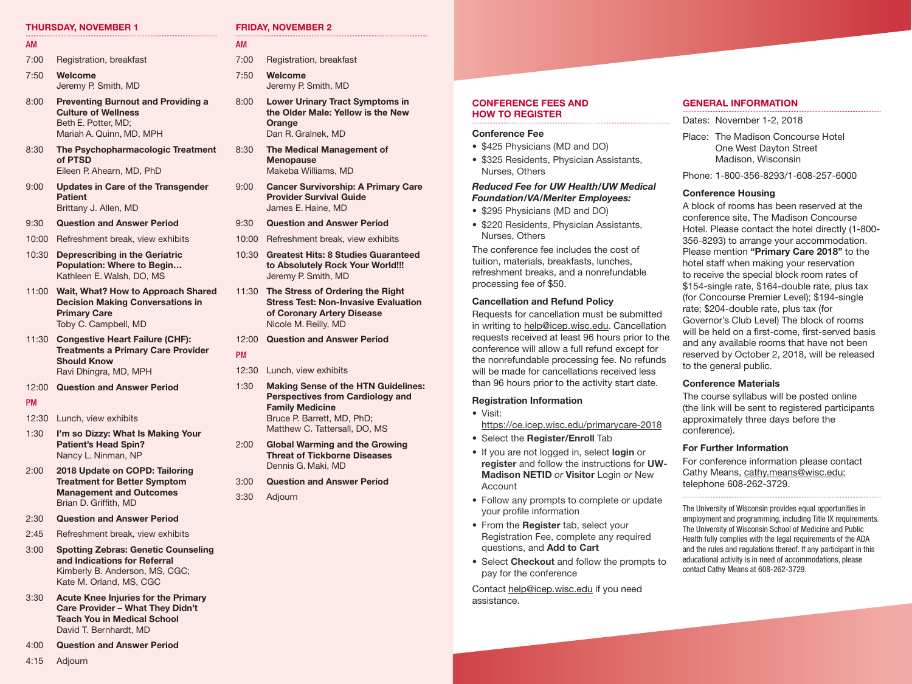#### THURSDAY, NOVEMBER 1

- AM 7:00 Registration, breakfast
- 7:50 Welcome Jeremy P. Smith, MD
- 8:00 Preventing Burnout and Providing a Culture of Wellness Beth E. Potter, MD; Mariah A. Quinn, MD, MPH
- 8:30 The Psychopharmacologic Treatment of PTSD Eileen P. Ahearn, MD, PhD
- 9:00 Updates in Care of the Transgender **Patient** Brittany J. Allen, MD
- 9:30 Question and Answer Period
- 10:00 Refreshment break, view exhibits
- 10:30 Deprescribing in the Geriatric Population: Where to Begin… Kathleen E. Walsh, DO, MS
- 11:00 Wait, What? How to Approach Shared Decision Making Conversations in Primary Care Toby C. Campbell, MD
- 11:30 Congestive Heart Failure (CHF): Treatments a Primary Care Provider Should Know Ravi Dhingra, MD, MPH
- 12:00 Question and Answer Period
- PM

#### 12:30 Lunch, view exhibits

- 1:30 I'm so Dizzy: What Is Making Your Patient's Head Spin? Nancy L. Ninman, NP
- 2:00 2018 Update on COPD: Tailoring Treatment for Better Symptom Management and Outcomes Brian D. Griffith, MD
- 2:30 Question and Answer Period
- 2:45 Refreshment break, view exhibits
- 3:00 Spotting Zebras: Genetic Counseling and Indications for Referral Kimberly B. Anderson, MS, CGC; Kate M. Orland, MS, CGC
- 3:30 Acute Knee Injuries for the Primary Care Provider – What They Didn't Teach You in Medical School David T. Bernhardt, MD
- 4:00 Question and Answer Period

# 4:15 Adjourn

#### FRIDAY, NOVEMBER 2

#### AM

- 7:00 Registration, breakfast
- 7:50 Welcome Jeremy P. Smith, MD
- 8:00 Lower Urinary Tract Symptoms in the Older Male: Yellow is the New **Orange** Dan R. Gralnek, MD
- 8:30 The Medical Management of **Menopause** Makeba Williams, MD
- 9:00 Cancer Survivorship: A Primary Care Provider Survival Guide James E. Haine, MD
- 9:30 Question and Answer Period
- 10:00 Refreshment break, view exhibits
- 10:30 Greatest Hits: 8 Studies Guaranteed to Absolutely Rock Your World!!! Jeremy P. Smith, MD
- 11:30 The Stress of Ordering the Right Stress Test: Non-Invasive Evaluation of Coronary Artery Disease Nicole M. Reilly, MD
- 12:00 Question and Answer Period
- PM
- 12:30 Lunch, view exhibits
- 1:30 Making Sense of the HTN Guidelines: Perspectives from Cardiology and Family Medicine Bruce P. Barrett, MD, PhD; Matthew C. Tattersall, DO, MS
- 2:00 Global Warming and the Growing Threat of Tickborne Diseases Dennis G. Maki, MD
- 3:00 Question and Answer Period
- 3:30 Adjourn

#### CONFERENCE FEES AND HOW TO REGISTER

#### Conference Fee

- \$425 Physicians (MD and DO)
- \$325 Residents, Physician Assistants, Nurses, Others

#### *Reduced Fee for UW Health/UW Medical Foundation/VA/Meriter Employees:*

- \$295 Physicians (MD and DO)
- \$220 Residents, Physician Assistants, Nurses, Others

The conference fee includes the cost of tuition, materials, breakfasts, lunches, refreshment breaks, and a nonrefundable processing fee of \$50.

#### Cancellation and Refund Policy

Requests for cancellation must be submitted in writing to help@icep.wisc.edu. Cancellation requests received at least 96 hours prior to the conference will allow a full refund except for the nonrefundable processing fee. No refunds will be made for cancellations received less than 96 hours prior to the activity start date.

#### Registration Information

- Visit:
- <https://ce.icep.wisc.edu/primarycare-2018> • Select the Register/Enroll Tab
- If you are not logged in, select login or
- register and follow the instructions for UW-Madison NETID *or* Visitor Login *or* New Account
- Follow any prompts to complete or update your profile information
- From the Register tab, select your Registration Fee, complete any required questions, and Add to Cart
- Select Checkout and follow the prompts to pay for the conference

Contact [help@icep.wisc.edu](mailto:help@icep.wisc.edu) if you need assistance.

#### GENERAL INFORMATION

Dates: November 1-2, 2018

Place: The Madison Concourse Hotel One West Dayton Street Madison, Wisconsin

Phone: 1-800-356-8293/1-608-257-6000

#### Conference Housing

A block of rooms has been reserved at the conference site, The Madison Concourse Hotel. Please contact the hotel directly (1-800- 356-8293) to arrange your accommodation. Please mention "Primary Care 2018" to the hotel staff when making your reservation to receive the special block room rates of \$154-single rate, \$164-double rate, plus tax (for Concourse Premier Level); \$194-single rate; \$204-double rate, plus tax (for Governor's Club Level) The block of rooms will be held on a first-come, first-served basis and any available rooms that have not been reserved by October 2, 2018, will be released to the general public.

#### Conference Materials

The course syllabus will be posted online (the link will be sent to registered participants approximately three days before the conference).

#### For Further Information

For conference information please contact Cathy Means, [cathy.means@wisc.edu;](mailto:cathy.means@wisc.edu) telephone 608-262-3729.

The University of Wisconsin provides equal opportunities in employment and programming, including Title IX requirements. The University of Wisconsin School of Medicine and Public Health fully complies with the legal requirements of the ADA and the rules and regulations thereof. If any participant in this educational activity is in need of accommodations, please contact Cathy Means at 608-262-3729.